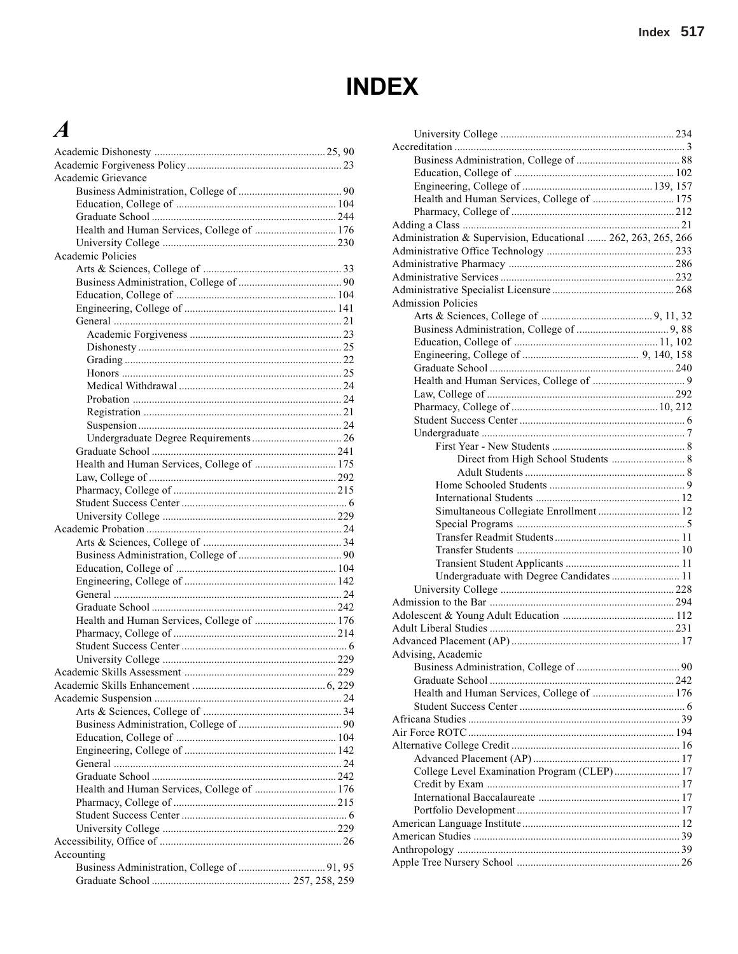# **INDEX**

## $\boldsymbol{A}$

| Academic Grievance                         |
|--------------------------------------------|
|                                            |
|                                            |
|                                            |
| Health and Human Services, College of  176 |
|                                            |
| Academic Policies                          |
|                                            |
|                                            |
|                                            |
|                                            |
|                                            |
|                                            |
|                                            |
|                                            |
|                                            |
|                                            |
|                                            |
|                                            |
|                                            |
|                                            |
|                                            |
| Health and Human Services, College of  175 |
|                                            |
|                                            |
|                                            |
|                                            |
|                                            |
|                                            |
|                                            |
|                                            |
|                                            |
|                                            |
|                                            |
|                                            |
|                                            |
| Health and Human Services, College of  176 |
|                                            |
|                                            |
|                                            |
|                                            |
|                                            |
|                                            |
|                                            |
|                                            |
|                                            |
|                                            |
|                                            |
| Health and Human Services, College of  176 |
|                                            |
|                                            |
|                                            |
|                                            |
| Accounting                                 |
|                                            |

| 90 |                                                               |    |
|----|---------------------------------------------------------------|----|
| 23 |                                                               |    |
|    |                                                               |    |
|    |                                                               |    |
| 90 | Health and Human Services, College of  175                    |    |
| 04 |                                                               |    |
| 44 |                                                               |    |
| 76 | Administration & Supervision, Educational  262, 263, 265, 266 |    |
| 30 |                                                               |    |
|    |                                                               |    |
| 33 |                                                               |    |
| 90 |                                                               |    |
| 04 |                                                               |    |
| 41 | <b>Admission Policies</b>                                     |    |
| 21 |                                                               |    |
| 23 |                                                               |    |
| 25 |                                                               |    |
| 22 |                                                               |    |
| 25 |                                                               |    |
| 24 |                                                               |    |
| 24 |                                                               |    |
| 21 |                                                               |    |
| 24 |                                                               |    |
| 26 |                                                               |    |
| 41 |                                                               |    |
|    |                                                               |    |
| 75 |                                                               |    |
| 92 |                                                               |    |
| 15 |                                                               |    |
| .6 | Simultaneous Collegiate Enrollment  12                        |    |
| 29 |                                                               |    |
| 24 |                                                               |    |
| 34 |                                                               |    |
| 90 |                                                               |    |
| 04 |                                                               |    |
| 42 | Undergraduate with Degree Candidates  11                      |    |
| 24 |                                                               |    |
| 42 |                                                               |    |
| 76 |                                                               |    |
| 14 |                                                               |    |
| .6 |                                                               |    |
| 29 | Advising, Academic                                            |    |
| 29 |                                                               | 90 |
| 29 |                                                               |    |
| 24 | Health and Human Services, College of  176                    |    |
| 34 |                                                               |    |
| 90 |                                                               |    |
| 04 |                                                               |    |
| 42 |                                                               |    |
| 24 |                                                               |    |
|    | College Level Examination Program (CLEP) 17                   |    |
| 42 |                                                               |    |
| 76 |                                                               |    |
| 15 |                                                               |    |
| .6 |                                                               |    |
| 29 |                                                               |    |
| 26 |                                                               |    |
|    |                                                               |    |
| 95 |                                                               |    |
|    |                                                               |    |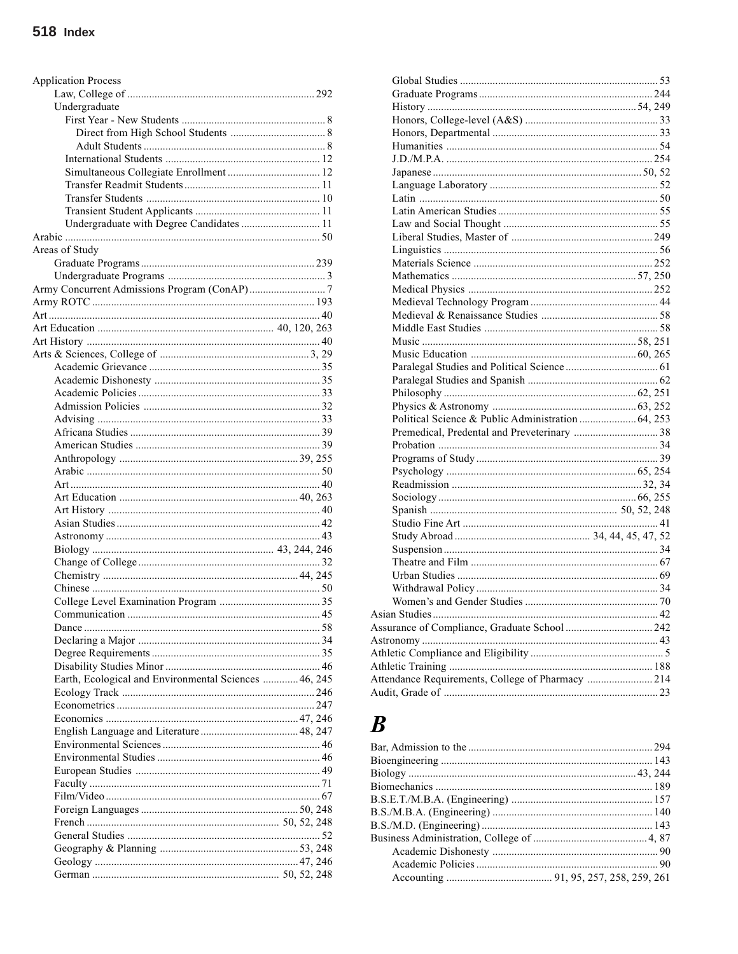| <b>Application Process</b>                            |  |
|-------------------------------------------------------|--|
|                                                       |  |
| Undergraduate                                         |  |
|                                                       |  |
|                                                       |  |
|                                                       |  |
|                                                       |  |
|                                                       |  |
|                                                       |  |
|                                                       |  |
|                                                       |  |
| Undergraduate with Degree Candidates  11              |  |
|                                                       |  |
| Areas of Study                                        |  |
|                                                       |  |
|                                                       |  |
|                                                       |  |
|                                                       |  |
|                                                       |  |
|                                                       |  |
|                                                       |  |
|                                                       |  |
|                                                       |  |
|                                                       |  |
|                                                       |  |
|                                                       |  |
|                                                       |  |
|                                                       |  |
|                                                       |  |
|                                                       |  |
|                                                       |  |
|                                                       |  |
|                                                       |  |
|                                                       |  |
|                                                       |  |
|                                                       |  |
|                                                       |  |
|                                                       |  |
|                                                       |  |
|                                                       |  |
|                                                       |  |
|                                                       |  |
|                                                       |  |
|                                                       |  |
|                                                       |  |
|                                                       |  |
|                                                       |  |
| Earth, Ecological and Environmental Sciences  46, 245 |  |
|                                                       |  |
|                                                       |  |
|                                                       |  |
|                                                       |  |
|                                                       |  |
|                                                       |  |
|                                                       |  |
|                                                       |  |
|                                                       |  |
|                                                       |  |
|                                                       |  |
|                                                       |  |
|                                                       |  |
|                                                       |  |
|                                                       |  |
|                                                       |  |

| Political Science & Public Administration  64, 253 |  |
|----------------------------------------------------|--|
|                                                    |  |
|                                                    |  |
|                                                    |  |
|                                                    |  |
|                                                    |  |
|                                                    |  |
|                                                    |  |
|                                                    |  |
|                                                    |  |
|                                                    |  |
|                                                    |  |
|                                                    |  |
|                                                    |  |
|                                                    |  |
|                                                    |  |
|                                                    |  |
|                                                    |  |
|                                                    |  |
|                                                    |  |
|                                                    |  |
| Attendance Requirements, College of Pharmacy  214  |  |
|                                                    |  |

## $\boldsymbol{B}$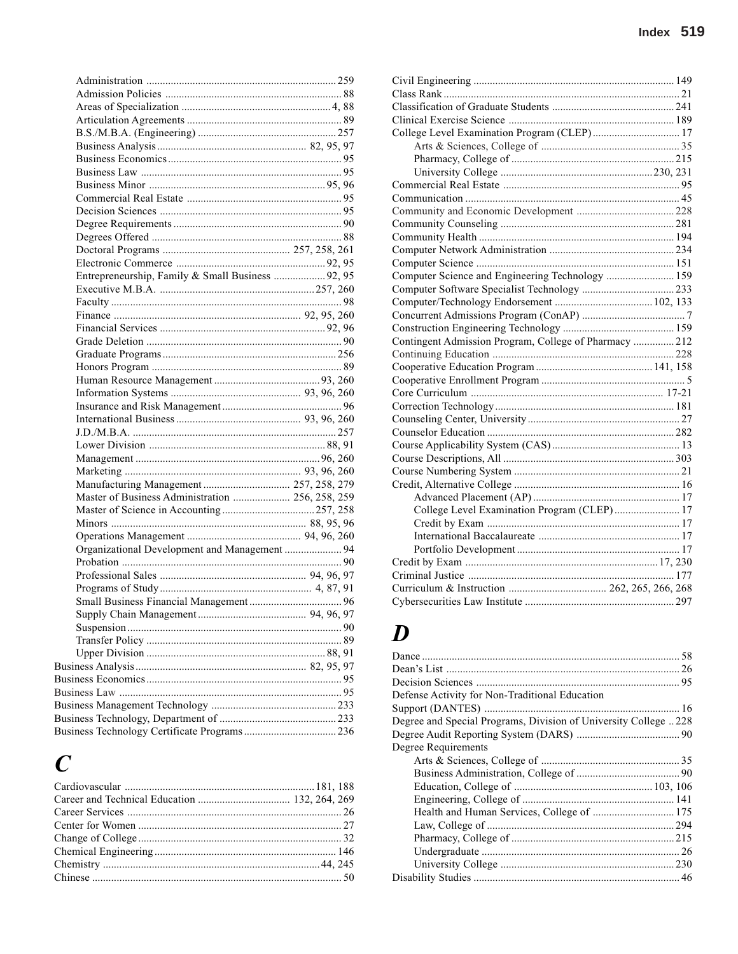| Entrepreneurship, Family & Small Business  92, 95 |  |
|---------------------------------------------------|--|
|                                                   |  |
|                                                   |  |
|                                                   |  |
|                                                   |  |
|                                                   |  |
|                                                   |  |
|                                                   |  |
|                                                   |  |
|                                                   |  |
|                                                   |  |
|                                                   |  |
|                                                   |  |
|                                                   |  |
|                                                   |  |
|                                                   |  |
| Manufacturing Management  257, 258, 279           |  |
| Master of Business Administration  256, 258, 259  |  |
|                                                   |  |
|                                                   |  |
|                                                   |  |
| Organizational Development and Management  94     |  |
|                                                   |  |
|                                                   |  |
|                                                   |  |
|                                                   |  |
|                                                   |  |
|                                                   |  |
|                                                   |  |
|                                                   |  |
|                                                   |  |
|                                                   |  |
|                                                   |  |
|                                                   |  |
|                                                   |  |
|                                                   |  |
|                                                   |  |

## $\boldsymbol{C}$

| College Level Examination Program (CLEP) 17            |
|--------------------------------------------------------|
|                                                        |
|                                                        |
|                                                        |
|                                                        |
|                                                        |
|                                                        |
|                                                        |
|                                                        |
|                                                        |
|                                                        |
| Computer Science and Engineering Technology  159       |
|                                                        |
|                                                        |
|                                                        |
|                                                        |
| Contingent Admission Program, College of Pharmacy  212 |
|                                                        |
|                                                        |
|                                                        |
|                                                        |
|                                                        |
|                                                        |
|                                                        |
|                                                        |
|                                                        |
|                                                        |
|                                                        |
|                                                        |
| College Level Examination Program (CLEP) 17            |
|                                                        |
|                                                        |
|                                                        |
|                                                        |
|                                                        |
|                                                        |
|                                                        |

## $\boldsymbol{D}$

| Defense Activity for Non-Traditional Education                  |  |
|-----------------------------------------------------------------|--|
|                                                                 |  |
| Degree and Special Programs, Division of University College 228 |  |
|                                                                 |  |
| Degree Requirements                                             |  |
|                                                                 |  |
|                                                                 |  |
|                                                                 |  |
|                                                                 |  |
| Health and Human Services, College of  175                      |  |
|                                                                 |  |
|                                                                 |  |
|                                                                 |  |
|                                                                 |  |
|                                                                 |  |
|                                                                 |  |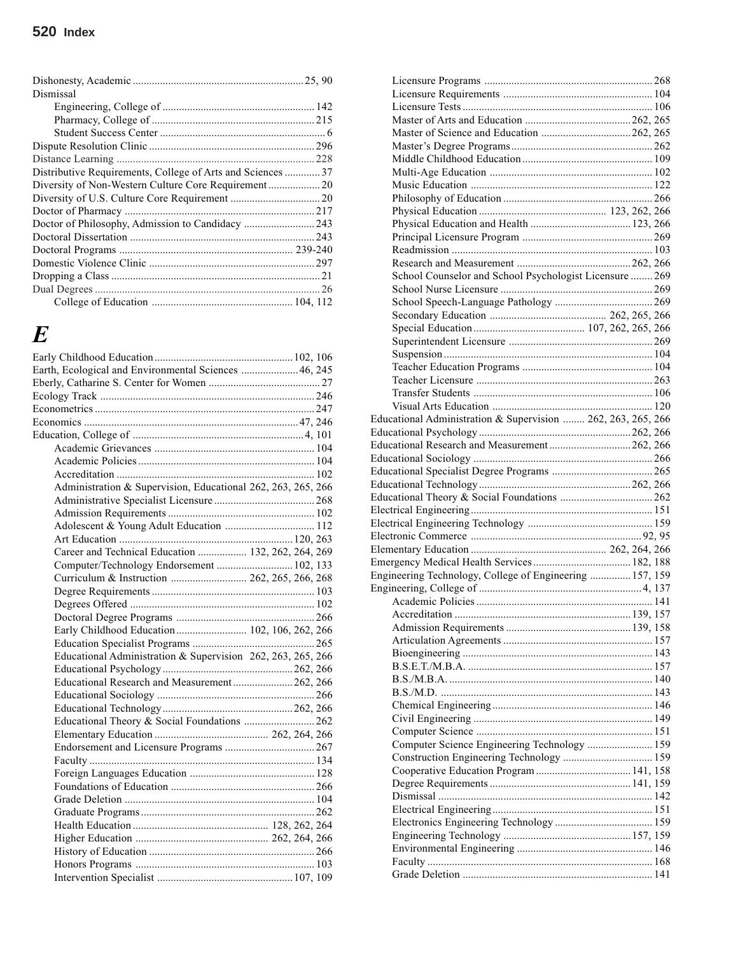| Dismissal                                                   |  |
|-------------------------------------------------------------|--|
|                                                             |  |
|                                                             |  |
|                                                             |  |
|                                                             |  |
|                                                             |  |
| Distributive Requirements, College of Arts and Sciences  37 |  |
|                                                             |  |
|                                                             |  |
|                                                             |  |
|                                                             |  |
|                                                             |  |
|                                                             |  |
|                                                             |  |
|                                                             |  |
|                                                             |  |
|                                                             |  |

## *E*

| Earth, Ecological and Environmental Sciences  46, 245        |  |  |
|--------------------------------------------------------------|--|--|
|                                                              |  |  |
|                                                              |  |  |
|                                                              |  |  |
|                                                              |  |  |
|                                                              |  |  |
|                                                              |  |  |
|                                                              |  |  |
|                                                              |  |  |
| Administration & Supervision, Educational 262, 263, 265, 266 |  |  |
|                                                              |  |  |
|                                                              |  |  |
|                                                              |  |  |
|                                                              |  |  |
| Career and Technical Education  132, 262, 264, 269           |  |  |
| Computer/Technology Endorsement  102, 133                    |  |  |
| Curriculum & Instruction  262, 265, 266, 268                 |  |  |
|                                                              |  |  |
|                                                              |  |  |
|                                                              |  |  |
| Early Childhood Education 102, 106, 262, 266                 |  |  |
|                                                              |  |  |
| Educational Administration & Supervision 262, 263, 265, 266  |  |  |
|                                                              |  |  |
| Educational Research and Measurement262, 266                 |  |  |
|                                                              |  |  |
|                                                              |  |  |
| Educational Theory & Social Foundations  262                 |  |  |
|                                                              |  |  |
|                                                              |  |  |
|                                                              |  |  |
|                                                              |  |  |
|                                                              |  |  |
|                                                              |  |  |
|                                                              |  |  |
|                                                              |  |  |
|                                                              |  |  |
|                                                              |  |  |
|                                                              |  |  |
|                                                              |  |  |
|                                                              |  |  |

| School Counselor and School Psychologist Licensure  269      |  |
|--------------------------------------------------------------|--|
|                                                              |  |
|                                                              |  |
|                                                              |  |
|                                                              |  |
|                                                              |  |
|                                                              |  |
|                                                              |  |
|                                                              |  |
|                                                              |  |
|                                                              |  |
|                                                              |  |
| Educational Administration & Supervision  262, 263, 265, 266 |  |
|                                                              |  |
| Educational Research and Measurement 262, 266                |  |
|                                                              |  |
|                                                              |  |
|                                                              |  |
|                                                              |  |
|                                                              |  |
|                                                              |  |
|                                                              |  |
|                                                              |  |
|                                                              |  |
|                                                              |  |
| Engineering Technology, College of Engineering  157, 159     |  |
|                                                              |  |
|                                                              |  |
|                                                              |  |
|                                                              |  |
|                                                              |  |
|                                                              |  |
|                                                              |  |
|                                                              |  |
|                                                              |  |
|                                                              |  |
|                                                              |  |
|                                                              |  |
|                                                              |  |
|                                                              |  |
| Computer Science Engineering Technology  159                 |  |
|                                                              |  |
|                                                              |  |
|                                                              |  |
|                                                              |  |
|                                                              |  |
|                                                              |  |
|                                                              |  |
|                                                              |  |
|                                                              |  |
|                                                              |  |
|                                                              |  |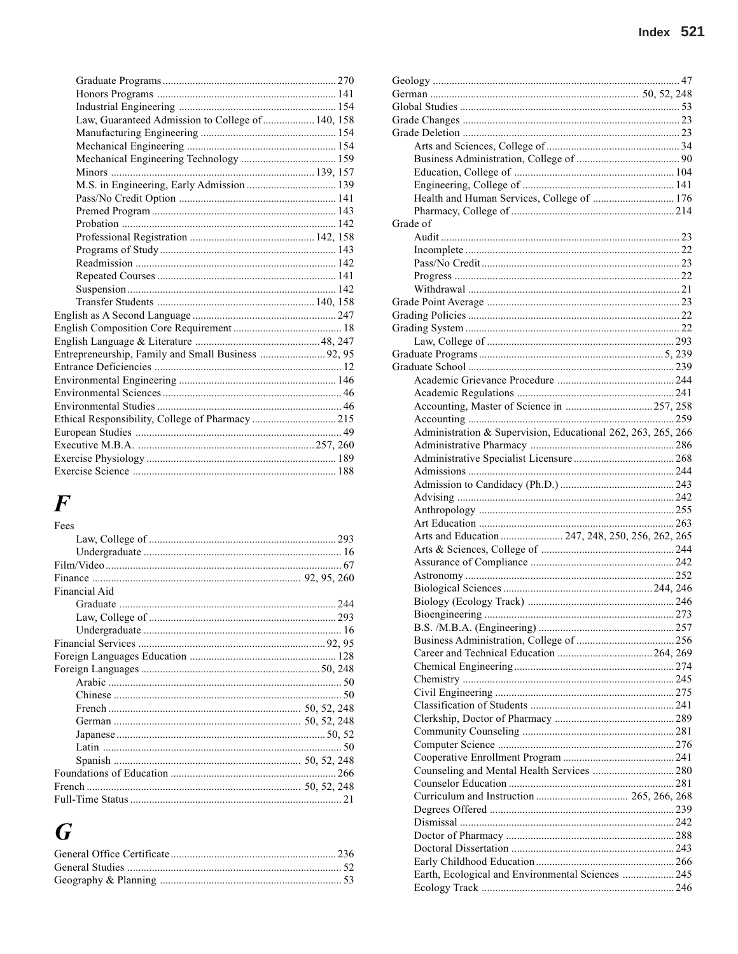| Law, Guaranteed Admission to College of  140, 158   |  |
|-----------------------------------------------------|--|
|                                                     |  |
|                                                     |  |
|                                                     |  |
|                                                     |  |
|                                                     |  |
|                                                     |  |
|                                                     |  |
|                                                     |  |
|                                                     |  |
|                                                     |  |
|                                                     |  |
|                                                     |  |
|                                                     |  |
|                                                     |  |
|                                                     |  |
|                                                     |  |
|                                                     |  |
| Entrepreneurship, Family and Small Business  92, 95 |  |
|                                                     |  |
|                                                     |  |
|                                                     |  |
|                                                     |  |
|                                                     |  |
|                                                     |  |
|                                                     |  |
|                                                     |  |
|                                                     |  |

# $\boldsymbol{F}$

## $\boldsymbol{G}$

| Health and Human Services, College of  176                   |  |
|--------------------------------------------------------------|--|
|                                                              |  |
| Grade of                                                     |  |
|                                                              |  |
|                                                              |  |
|                                                              |  |
|                                                              |  |
|                                                              |  |
|                                                              |  |
|                                                              |  |
|                                                              |  |
|                                                              |  |
|                                                              |  |
|                                                              |  |
|                                                              |  |
|                                                              |  |
|                                                              |  |
|                                                              |  |
|                                                              |  |
| Administration & Supervision, Educational 262, 263, 265, 266 |  |
|                                                              |  |
|                                                              |  |
|                                                              |  |
|                                                              |  |
|                                                              |  |
|                                                              |  |
|                                                              |  |
| Arts and Education  247, 248, 250, 256, 262, 265             |  |
|                                                              |  |
|                                                              |  |
|                                                              |  |
|                                                              |  |
|                                                              |  |
|                                                              |  |
|                                                              |  |
|                                                              |  |
|                                                              |  |
|                                                              |  |
|                                                              |  |
|                                                              |  |
|                                                              |  |
|                                                              |  |
|                                                              |  |
|                                                              |  |
|                                                              |  |
|                                                              |  |
|                                                              |  |
|                                                              |  |
|                                                              |  |
|                                                              |  |
|                                                              |  |
|                                                              |  |
|                                                              |  |
|                                                              |  |
|                                                              |  |
| Earth, Ecological and Environmental Sciences  245            |  |
|                                                              |  |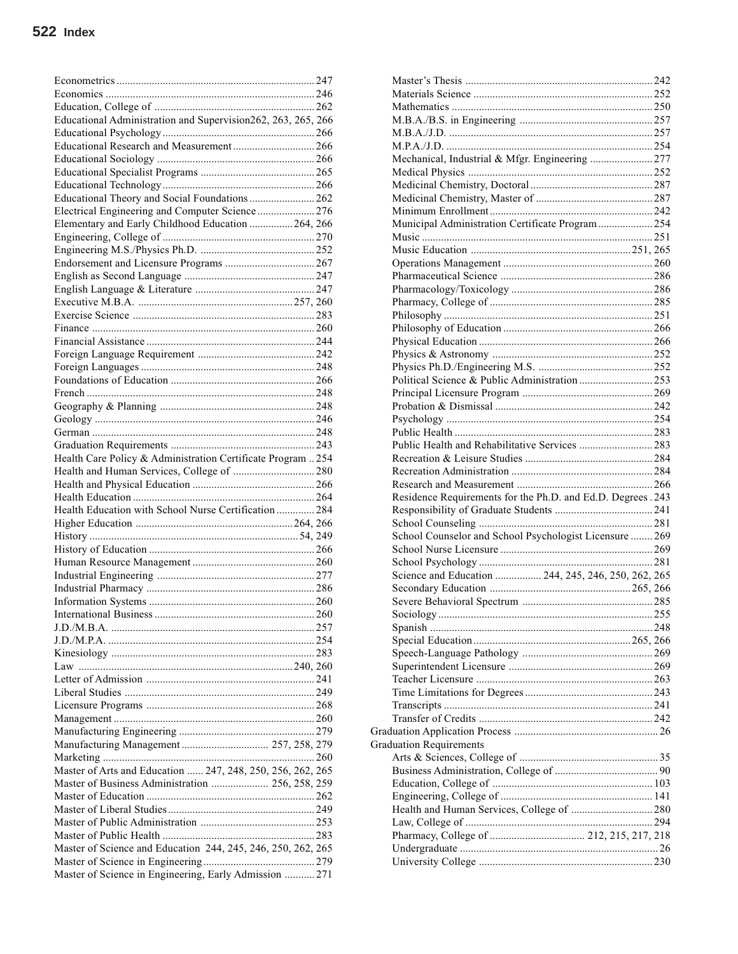| Educational Administration and Supervision262, 263, 265, 266 |  |
|--------------------------------------------------------------|--|
|                                                              |  |
| Educational Research and Measurement 266                     |  |
|                                                              |  |
|                                                              |  |
|                                                              |  |
| Educational Theory and Social Foundations  262               |  |
| Electrical Engineering and Computer Science  276             |  |
| Elementary and Early Childhood Education  264, 266           |  |
|                                                              |  |
|                                                              |  |
|                                                              |  |
|                                                              |  |
|                                                              |  |
|                                                              |  |
|                                                              |  |
|                                                              |  |
|                                                              |  |
|                                                              |  |
|                                                              |  |
|                                                              |  |
|                                                              |  |
|                                                              |  |
|                                                              |  |
|                                                              |  |
|                                                              |  |
| Health Care Policy & Administration Certificate Program  254 |  |
|                                                              |  |
| Health and Human Services, College of  280                   |  |
|                                                              |  |
|                                                              |  |
|                                                              |  |
| Health Education with School Nurse Certification  284        |  |
|                                                              |  |
|                                                              |  |
|                                                              |  |
|                                                              |  |
|                                                              |  |
|                                                              |  |
|                                                              |  |
|                                                              |  |
|                                                              |  |
|                                                              |  |
|                                                              |  |
|                                                              |  |
|                                                              |  |
|                                                              |  |
|                                                              |  |
|                                                              |  |
|                                                              |  |
| Manufacturing Management  257, 258, 279                      |  |
|                                                              |  |
| Master of Arts and Education  247, 248, 250, 256, 262, 265   |  |
| Master of Business Administration  256, 258, 259             |  |
|                                                              |  |
|                                                              |  |
|                                                              |  |
|                                                              |  |
| Master of Science and Education 244, 245, 246, 250, 262, 265 |  |
|                                                              |  |
| Master of Science in Engineering, Early Admission  271       |  |

| Mechanical, Industrial & Mfgr. Engineering  277              |  |
|--------------------------------------------------------------|--|
|                                                              |  |
|                                                              |  |
|                                                              |  |
|                                                              |  |
| Municipal Administration Certificate Program  254            |  |
|                                                              |  |
|                                                              |  |
|                                                              |  |
|                                                              |  |
|                                                              |  |
|                                                              |  |
|                                                              |  |
|                                                              |  |
|                                                              |  |
|                                                              |  |
|                                                              |  |
| Political Science & Public Administration  253               |  |
|                                                              |  |
|                                                              |  |
|                                                              |  |
|                                                              |  |
| Public Health and Rehabilitative Services  283               |  |
|                                                              |  |
|                                                              |  |
|                                                              |  |
|                                                              |  |
|                                                              |  |
| Residence Requirements for the Ph.D. and Ed.D. Degrees . 243 |  |
|                                                              |  |
|                                                              |  |
| School Counselor and School Psychologist Licensure  269      |  |
|                                                              |  |
|                                                              |  |
| Science and Education  244, 245, 246, 250, 262, 265          |  |
|                                                              |  |
|                                                              |  |
|                                                              |  |
|                                                              |  |
|                                                              |  |
|                                                              |  |
|                                                              |  |
|                                                              |  |
|                                                              |  |
|                                                              |  |
|                                                              |  |
|                                                              |  |
| <b>Graduation Requirements</b>                               |  |
|                                                              |  |
|                                                              |  |
|                                                              |  |
|                                                              |  |
| Health and Human Services, College of  280                   |  |
|                                                              |  |
|                                                              |  |
|                                                              |  |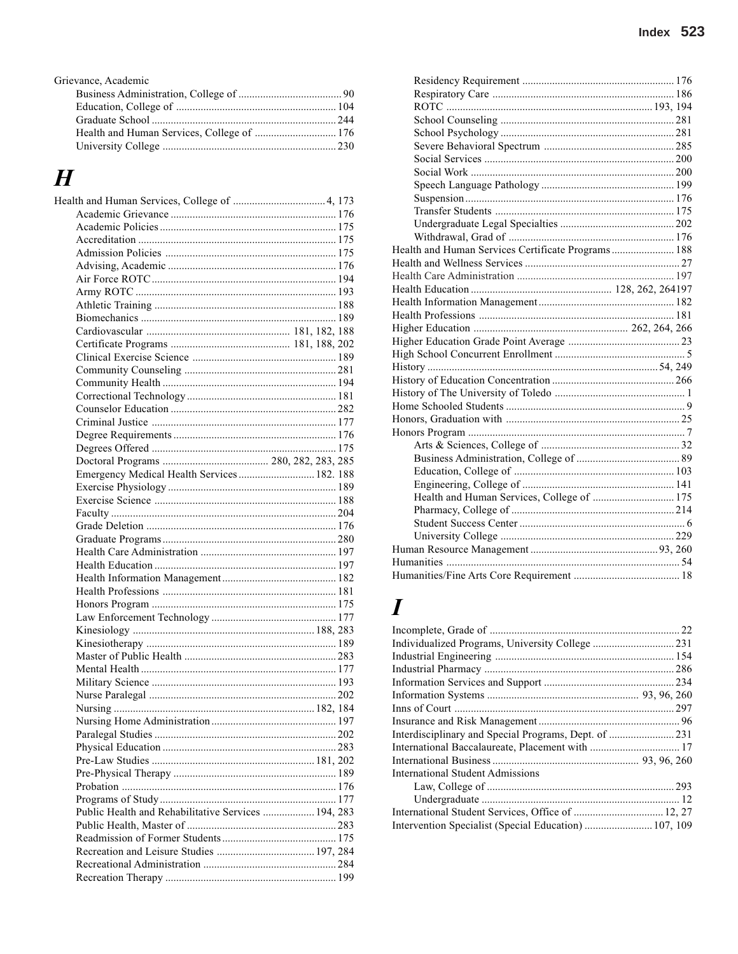| Grievance, Academic |  |
|---------------------|--|
|                     |  |
|                     |  |
|                     |  |
|                     |  |
|                     |  |
|                     |  |

### $\boldsymbol{H}$  $H<sub>6</sub>$

| Emergency Medical Health Services  182. 188         |  |
|-----------------------------------------------------|--|
|                                                     |  |
|                                                     |  |
|                                                     |  |
|                                                     |  |
|                                                     |  |
|                                                     |  |
|                                                     |  |
|                                                     |  |
|                                                     |  |
|                                                     |  |
|                                                     |  |
|                                                     |  |
|                                                     |  |
|                                                     |  |
|                                                     |  |
|                                                     |  |
|                                                     |  |
|                                                     |  |
|                                                     |  |
|                                                     |  |
|                                                     |  |
|                                                     |  |
|                                                     |  |
|                                                     |  |
|                                                     |  |
|                                                     |  |
| Public Health and Rehabilitative Services  194, 283 |  |
|                                                     |  |
|                                                     |  |
|                                                     |  |
|                                                     |  |
|                                                     |  |
|                                                     |  |

| Health and Human Services Certificate Programs 188 |  |
|----------------------------------------------------|--|
|                                                    |  |
|                                                    |  |
|                                                    |  |
|                                                    |  |
|                                                    |  |
|                                                    |  |
|                                                    |  |
|                                                    |  |
|                                                    |  |
|                                                    |  |
|                                                    |  |
|                                                    |  |
|                                                    |  |
|                                                    |  |
|                                                    |  |
|                                                    |  |
|                                                    |  |
|                                                    |  |
| Health and Human Services, College of  175         |  |
|                                                    |  |
|                                                    |  |
|                                                    |  |
|                                                    |  |
|                                                    |  |
|                                                    |  |
|                                                    |  |

## $\boldsymbol{I}$

| International Student Admissions                      |  |
|-------------------------------------------------------|--|
|                                                       |  |
|                                                       |  |
|                                                       |  |
| Intervention Specialist (Special Education)  107, 109 |  |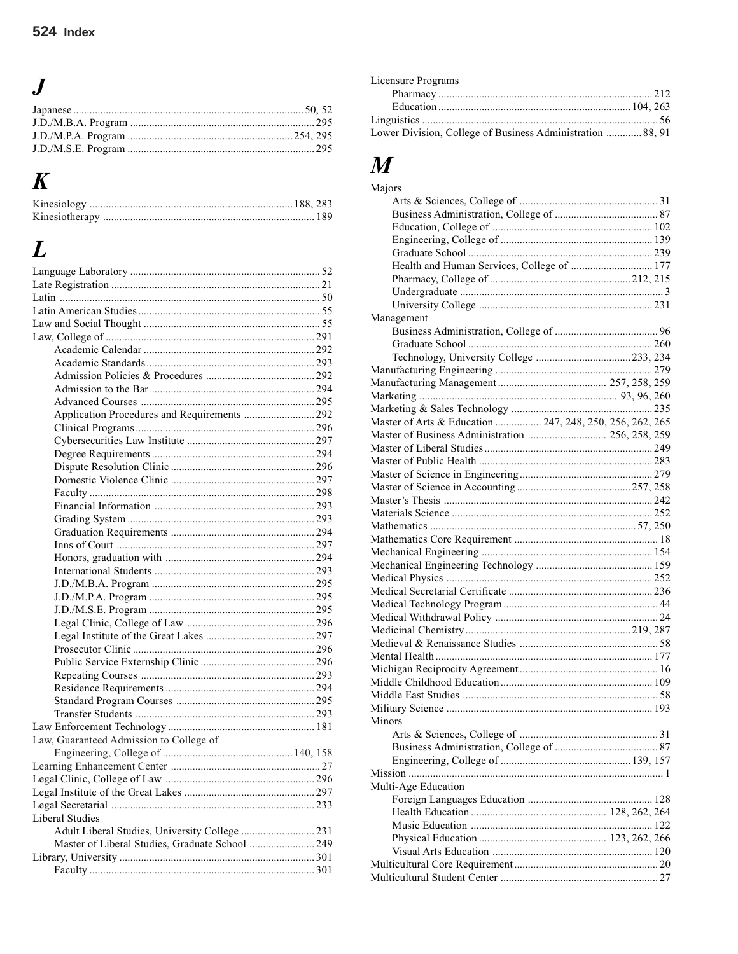# $\boldsymbol{J}$

# $\boldsymbol{K}$

# $\boldsymbol{L}$

| Application Procedures and Requirements  292    |
|-------------------------------------------------|
|                                                 |
|                                                 |
|                                                 |
|                                                 |
|                                                 |
|                                                 |
|                                                 |
|                                                 |
|                                                 |
|                                                 |
|                                                 |
|                                                 |
|                                                 |
|                                                 |
|                                                 |
|                                                 |
|                                                 |
|                                                 |
|                                                 |
|                                                 |
|                                                 |
|                                                 |
|                                                 |
|                                                 |
|                                                 |
|                                                 |
|                                                 |
| Law, Guaranteed Admission to College of         |
|                                                 |
|                                                 |
|                                                 |
|                                                 |
|                                                 |
| <b>Liberal Studies</b>                          |
| Adult Liberal Studies, University College  231  |
| Master of Liberal Studies, Graduate School  249 |
|                                                 |
|                                                 |
|                                                 |

| Licensure Programs                                         |  |
|------------------------------------------------------------|--|
|                                                            |  |
|                                                            |  |
|                                                            |  |
| Lower Division, College of Business Administration  88, 91 |  |

# $\overline{M}$

| Majors                                                   |
|----------------------------------------------------------|
|                                                          |
|                                                          |
|                                                          |
|                                                          |
|                                                          |
| Health and Human Services, College of  177               |
|                                                          |
|                                                          |
|                                                          |
| Management                                               |
|                                                          |
|                                                          |
|                                                          |
|                                                          |
|                                                          |
|                                                          |
|                                                          |
| Master of Arts & Education  247, 248, 250, 256, 262, 265 |
| Master of Business Administration  256, 258, 259         |
|                                                          |
|                                                          |
|                                                          |
|                                                          |
|                                                          |
|                                                          |
|                                                          |
|                                                          |
|                                                          |
|                                                          |
|                                                          |
|                                                          |
|                                                          |
|                                                          |
|                                                          |
|                                                          |
|                                                          |
|                                                          |
|                                                          |
|                                                          |
|                                                          |
|                                                          |
| Minors                                                   |
|                                                          |
|                                                          |
|                                                          |
|                                                          |
| Multi-Age Education                                      |
|                                                          |
|                                                          |
|                                                          |
|                                                          |
|                                                          |
|                                                          |
|                                                          |
|                                                          |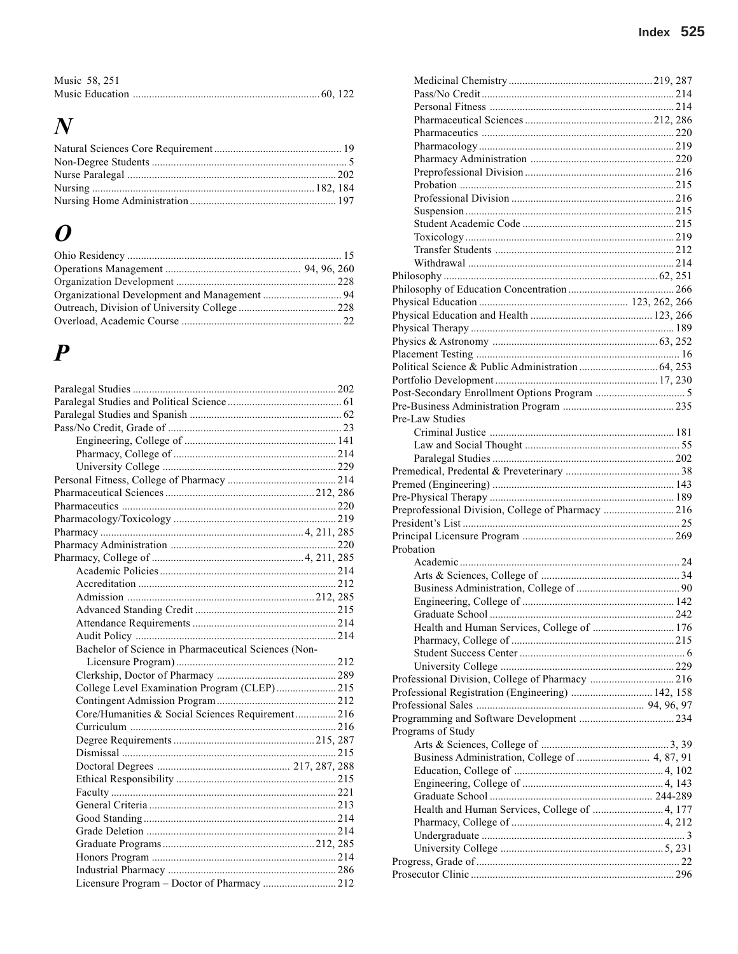| Music 58, 251 |  |
|---------------|--|
|               |  |

## $\boldsymbol{N}$

## $\boldsymbol{o}$

## $\boldsymbol{P}$

| Bachelor of Science in Pharmaceutical Sciences (Non- |  |
|------------------------------------------------------|--|
|                                                      |  |
|                                                      |  |
| College Level Examination Program (CLEP) 215         |  |
|                                                      |  |
| Core/Humanities & Social Sciences Requirement 216    |  |
|                                                      |  |
|                                                      |  |
|                                                      |  |
|                                                      |  |
|                                                      |  |
|                                                      |  |
|                                                      |  |
|                                                      |  |
|                                                      |  |
|                                                      |  |
|                                                      |  |
|                                                      |  |
| Licensure Program - Doctor of Pharmacy  212          |  |
|                                                      |  |

| Pre-Law Studies                                    |  |
|----------------------------------------------------|--|
|                                                    |  |
|                                                    |  |
|                                                    |  |
|                                                    |  |
|                                                    |  |
|                                                    |  |
|                                                    |  |
|                                                    |  |
| Preprofessional Division, College of Pharmacy  216 |  |
|                                                    |  |
|                                                    |  |
| Probation                                          |  |
|                                                    |  |
|                                                    |  |
|                                                    |  |
|                                                    |  |
|                                                    |  |
|                                                    |  |
| Health and Human Services, College of  176         |  |
|                                                    |  |
|                                                    |  |
|                                                    |  |
|                                                    |  |
| Professional Registration (Engineering)  142, 158  |  |
|                                                    |  |
|                                                    |  |
| Programs of Study                                  |  |
|                                                    |  |
| Business Administration, College of  4, 87, 91     |  |
|                                                    |  |
|                                                    |  |
|                                                    |  |
|                                                    |  |
| Health and Human Services, College of  4, 177      |  |
|                                                    |  |
|                                                    |  |
|                                                    |  |
|                                                    |  |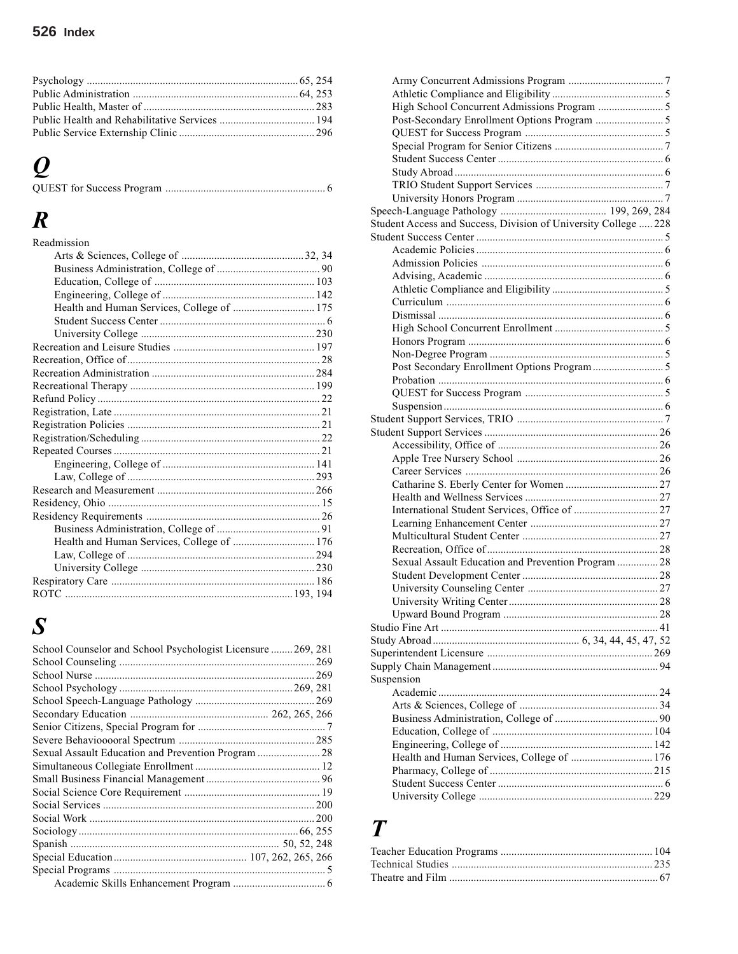# *Q*

|--|--|

## *R*

| Readmission                                |  |
|--------------------------------------------|--|
|                                            |  |
|                                            |  |
|                                            |  |
|                                            |  |
| Health and Human Services, College of  175 |  |
|                                            |  |
|                                            |  |
|                                            |  |
|                                            |  |
|                                            |  |
|                                            |  |
|                                            |  |
|                                            |  |
|                                            |  |
|                                            |  |
|                                            |  |
|                                            |  |
|                                            |  |
|                                            |  |
|                                            |  |
|                                            |  |
|                                            |  |
| Health and Human Services, College of  176 |  |
|                                            |  |
|                                            |  |
|                                            |  |
|                                            |  |

# *S*

| School Counselor and School Psychologist Licensure  269, 281 |  |
|--------------------------------------------------------------|--|
|                                                              |  |
|                                                              |  |
|                                                              |  |
|                                                              |  |
|                                                              |  |
|                                                              |  |
|                                                              |  |
| Sexual Assault Education and Prevention Program  28          |  |
|                                                              |  |
|                                                              |  |
|                                                              |  |
|                                                              |  |
|                                                              |  |
|                                                              |  |
|                                                              |  |
|                                                              |  |
|                                                              |  |
|                                                              |  |
|                                                              |  |

| Student Access and Success, Division of University College  228 |  |
|-----------------------------------------------------------------|--|
|                                                                 |  |
|                                                                 |  |
|                                                                 |  |
|                                                                 |  |
|                                                                 |  |
|                                                                 |  |
|                                                                 |  |
|                                                                 |  |
|                                                                 |  |
|                                                                 |  |
|                                                                 |  |
|                                                                 |  |
|                                                                 |  |
|                                                                 |  |
|                                                                 |  |
|                                                                 |  |
|                                                                 |  |
|                                                                 |  |
|                                                                 |  |
|                                                                 |  |
|                                                                 |  |
|                                                                 |  |
|                                                                 |  |
|                                                                 |  |
|                                                                 |  |
| Sexual Assault Education and Prevention Program  28             |  |
|                                                                 |  |
|                                                                 |  |
|                                                                 |  |
|                                                                 |  |
|                                                                 |  |
|                                                                 |  |
|                                                                 |  |
|                                                                 |  |
| Suspension                                                      |  |
|                                                                 |  |
|                                                                 |  |
|                                                                 |  |
|                                                                 |  |
|                                                                 |  |
| Health and Human Services, College of  176                      |  |
|                                                                 |  |
|                                                                 |  |
|                                                                 |  |
|                                                                 |  |

## *T*